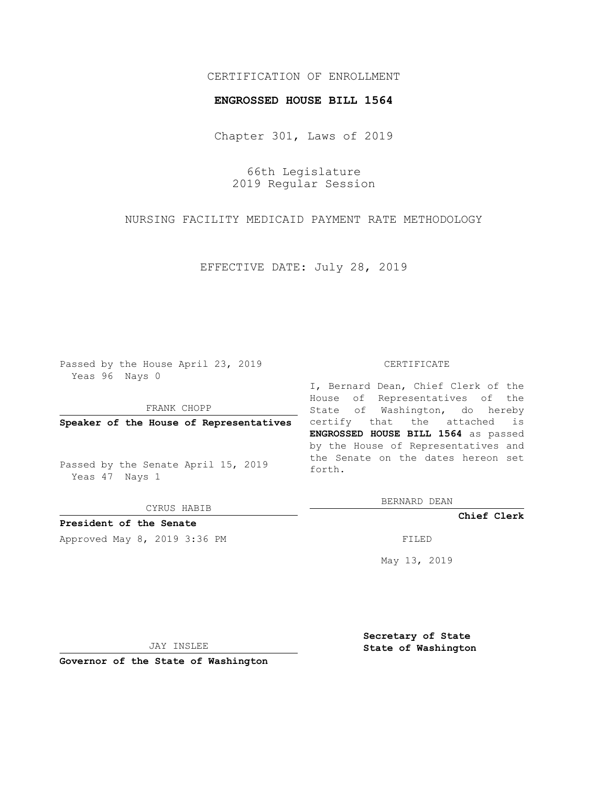## CERTIFICATION OF ENROLLMENT

### **ENGROSSED HOUSE BILL 1564**

Chapter 301, Laws of 2019

66th Legislature 2019 Regular Session

NURSING FACILITY MEDICAID PAYMENT RATE METHODOLOGY

EFFECTIVE DATE: July 28, 2019

Passed by the House April 23, 2019 Yeas 96 Nays 0

FRANK CHOPP

**Speaker of the House of Representatives**

Passed by the Senate April 15, 2019 Yeas 47 Nays 1

CYRUS HABIB

**President of the Senate**

Approved May 8, 2019 3:36 PM

#### CERTIFICATE

I, Bernard Dean, Chief Clerk of the House of Representatives of the State of Washington, do hereby certify that the attached is **ENGROSSED HOUSE BILL 1564** as passed by the House of Representatives and the Senate on the dates hereon set forth.

BERNARD DEAN

**Chief Clerk**

May 13, 2019

JAY INSLEE

**Governor of the State of Washington**

**Secretary of State State of Washington**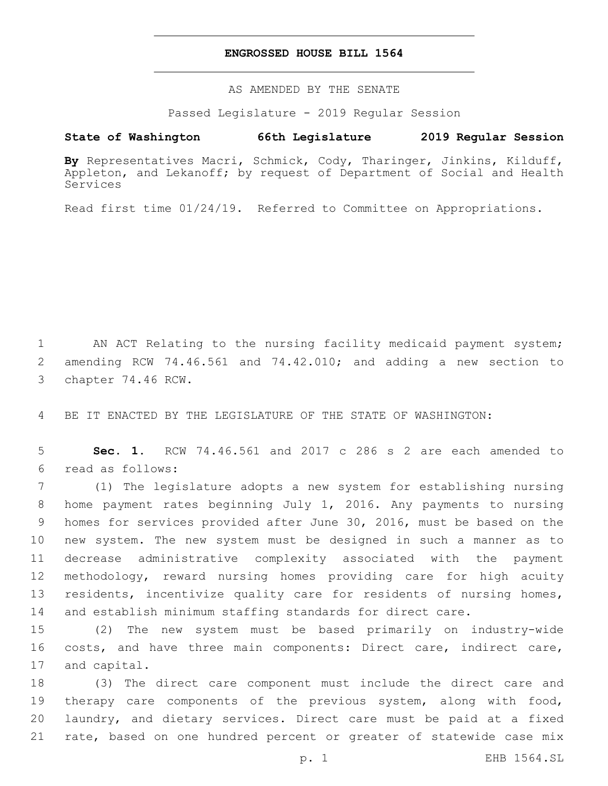## **ENGROSSED HOUSE BILL 1564**

AS AMENDED BY THE SENATE

Passed Legislature - 2019 Regular Session

# **State of Washington 66th Legislature 2019 Regular Session**

**By** Representatives Macri, Schmick, Cody, Tharinger, Jinkins, Kilduff, Appleton, and Lekanoff; by request of Department of Social and Health Services

Read first time 01/24/19. Referred to Committee on Appropriations.

1 AN ACT Relating to the nursing facility medicaid payment system; 2 amending RCW 74.46.561 and 74.42.010; and adding a new section to 3 chapter 74.46 RCW.

4 BE IT ENACTED BY THE LEGISLATURE OF THE STATE OF WASHINGTON:

5 **Sec. 1.** RCW 74.46.561 and 2017 c 286 s 2 are each amended to read as follows:6

 (1) The legislature adopts a new system for establishing nursing home payment rates beginning July 1, 2016. Any payments to nursing homes for services provided after June 30, 2016, must be based on the new system. The new system must be designed in such a manner as to decrease administrative complexity associated with the payment methodology, reward nursing homes providing care for high acuity residents, incentivize quality care for residents of nursing homes, and establish minimum staffing standards for direct care.

15 (2) The new system must be based primarily on industry-wide 16 costs, and have three main components: Direct care, indirect care, 17 and capital.

 (3) The direct care component must include the direct care and 19 therapy care components of the previous system, along with food, laundry, and dietary services. Direct care must be paid at a fixed rate, based on one hundred percent or greater of statewide case mix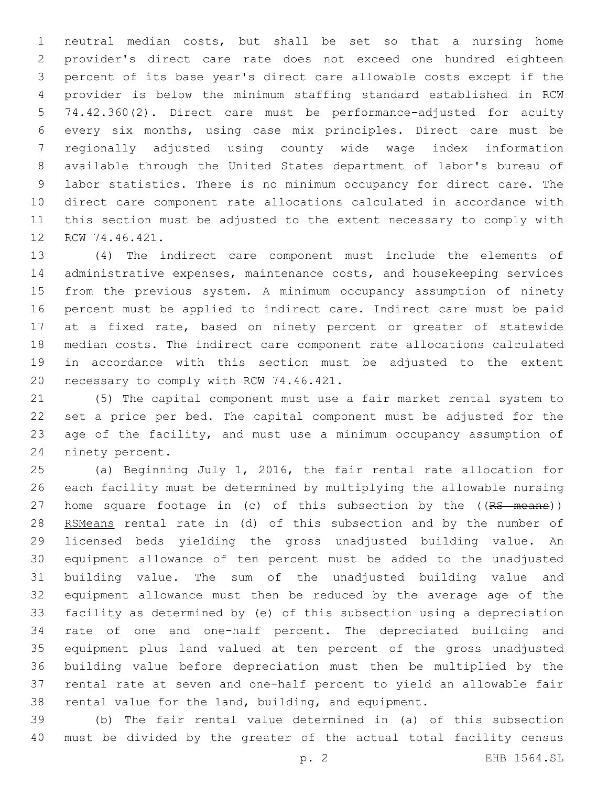neutral median costs, but shall be set so that a nursing home provider's direct care rate does not exceed one hundred eighteen percent of its base year's direct care allowable costs except if the provider is below the minimum staffing standard established in RCW 74.42.360(2). Direct care must be performance-adjusted for acuity every six months, using case mix principles. Direct care must be regionally adjusted using county wide wage index information available through the United States department of labor's bureau of labor statistics. There is no minimum occupancy for direct care. The direct care component rate allocations calculated in accordance with this section must be adjusted to the extent necessary to comply with 12 RCW 74.46.421.

 (4) The indirect care component must include the elements of administrative expenses, maintenance costs, and housekeeping services from the previous system. A minimum occupancy assumption of ninety percent must be applied to indirect care. Indirect care must be paid at a fixed rate, based on ninety percent or greater of statewide median costs. The indirect care component rate allocations calculated in accordance with this section must be adjusted to the extent 20 necessary to comply with RCW 74.46.421.

 (5) The capital component must use a fair market rental system to set a price per bed. The capital component must be adjusted for the age of the facility, and must use a minimum occupancy assumption of 24 ninety percent.

 (a) Beginning July 1, 2016, the fair rental rate allocation for each facility must be determined by multiplying the allowable nursing 27 home square footage in (c) of this subsection by the ((RS means)) 28 RSMeans rental rate in (d) of this subsection and by the number of licensed beds yielding the gross unadjusted building value. An equipment allowance of ten percent must be added to the unadjusted building value. The sum of the unadjusted building value and equipment allowance must then be reduced by the average age of the facility as determined by (e) of this subsection using a depreciation rate of one and one-half percent. The depreciated building and equipment plus land valued at ten percent of the gross unadjusted building value before depreciation must then be multiplied by the rental rate at seven and one-half percent to yield an allowable fair rental value for the land, building, and equipment.

 (b) The fair rental value determined in (a) of this subsection must be divided by the greater of the actual total facility census

p. 2 EHB 1564.SL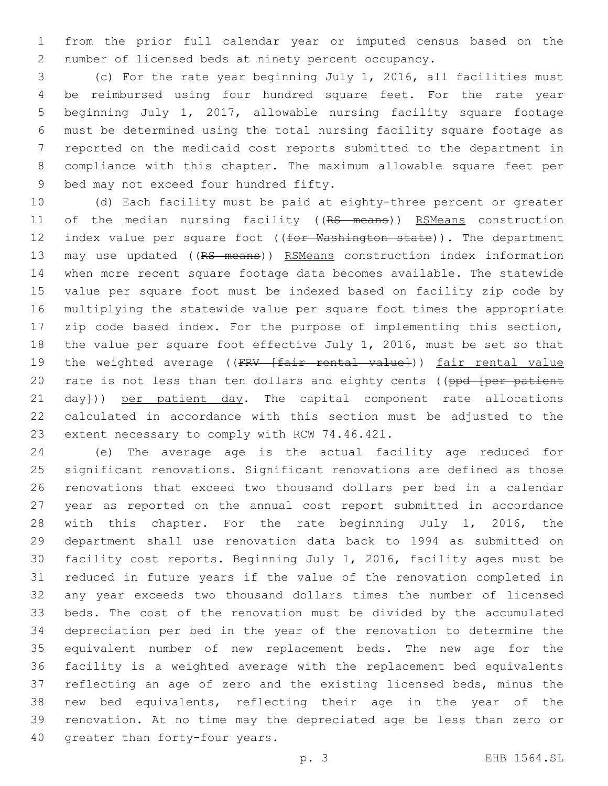from the prior full calendar year or imputed census based on the number of licensed beds at ninety percent occupancy.

 (c) For the rate year beginning July 1, 2016, all facilities must be reimbursed using four hundred square feet. For the rate year beginning July 1, 2017, allowable nursing facility square footage must be determined using the total nursing facility square footage as reported on the medicaid cost reports submitted to the department in compliance with this chapter. The maximum allowable square feet per 9 bed may not exceed four hundred fifty.

 (d) Each facility must be paid at eighty-three percent or greater 11 of the median nursing facility ((RS means)) RSMeans construction 12 index value per square foot ((for Washington state)). The department 13 may use updated ((RS means)) RSMeans construction index information when more recent square footage data becomes available. The statewide value per square foot must be indexed based on facility zip code by multiplying the statewide value per square foot times the appropriate zip code based index. For the purpose of implementing this section, the value per square foot effective July 1, 2016, must be set so that 19 the weighted average ((FRV [fair rental value])) fair rental value 20 rate is not less than ten dollars and eighty cents ((ppd [per patient 21 day})) per patient day. The capital component rate allocations calculated in accordance with this section must be adjusted to the 23 extent necessary to comply with RCW 74.46.421.

 (e) The average age is the actual facility age reduced for significant renovations. Significant renovations are defined as those renovations that exceed two thousand dollars per bed in a calendar year as reported on the annual cost report submitted in accordance with this chapter. For the rate beginning July 1, 2016, the department shall use renovation data back to 1994 as submitted on facility cost reports. Beginning July 1, 2016, facility ages must be reduced in future years if the value of the renovation completed in any year exceeds two thousand dollars times the number of licensed beds. The cost of the renovation must be divided by the accumulated depreciation per bed in the year of the renovation to determine the equivalent number of new replacement beds. The new age for the facility is a weighted average with the replacement bed equivalents reflecting an age of zero and the existing licensed beds, minus the new bed equivalents, reflecting their age in the year of the renovation. At no time may the depreciated age be less than zero or 40 greater than forty-four years.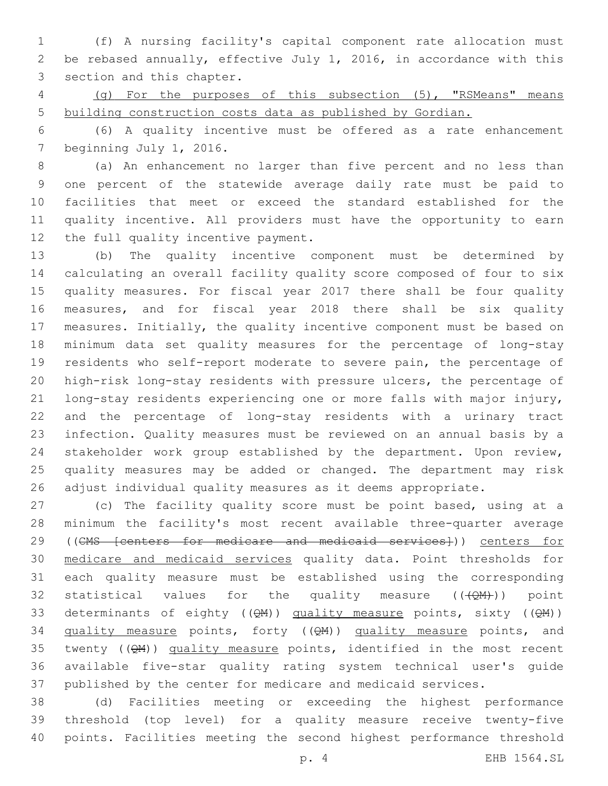(f) A nursing facility's capital component rate allocation must be rebased annually, effective July 1, 2016, in accordance with this 3 section and this chapter.

 (g) For the purposes of this subsection (5), "RSMeans" means building construction costs data as published by Gordian.

 (6) A quality incentive must be offered as a rate enhancement 7 beginning July 1, 2016.

 (a) An enhancement no larger than five percent and no less than one percent of the statewide average daily rate must be paid to facilities that meet or exceed the standard established for the quality incentive. All providers must have the opportunity to earn 12 the full quality incentive payment.

 (b) The quality incentive component must be determined by calculating an overall facility quality score composed of four to six quality measures. For fiscal year 2017 there shall be four quality measures, and for fiscal year 2018 there shall be six quality measures. Initially, the quality incentive component must be based on minimum data set quality measures for the percentage of long-stay residents who self-report moderate to severe pain, the percentage of high-risk long-stay residents with pressure ulcers, the percentage of long-stay residents experiencing one or more falls with major injury, and the percentage of long-stay residents with a urinary tract infection. Quality measures must be reviewed on an annual basis by a stakeholder work group established by the department. Upon review, quality measures may be added or changed. The department may risk adjust individual quality measures as it deems appropriate.

 (c) The facility quality score must be point based, using at a minimum the facility's most recent available three-quarter average 29 ((CMS [centers for medicare and medicaid services])) centers for medicare and medicaid services quality data. Point thresholds for each quality measure must be established using the corresponding 32 statistical values for the quality measure  $((\sqrt{QM})))$  point 33 determinants of eighty ( $(QM)$ ) quality measure points, sixty ( $(QM)$ ) 34 quality measure points, forty ((QM)) quality measure points, and 35 twenty  $(QM)$ ) quality measure points, identified in the most recent available five-star quality rating system technical user's guide published by the center for medicare and medicaid services.

 (d) Facilities meeting or exceeding the highest performance threshold (top level) for a quality measure receive twenty-five points. Facilities meeting the second highest performance threshold

p. 4 EHB 1564.SL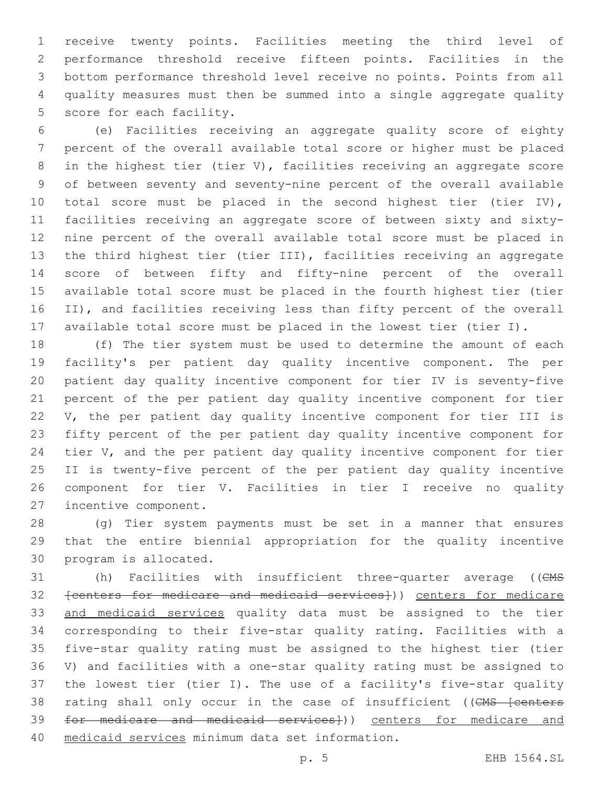receive twenty points. Facilities meeting the third level of performance threshold receive fifteen points. Facilities in the bottom performance threshold level receive no points. Points from all quality measures must then be summed into a single aggregate quality 5 score for each facility.

 (e) Facilities receiving an aggregate quality score of eighty percent of the overall available total score or higher must be placed in the highest tier (tier V), facilities receiving an aggregate score of between seventy and seventy-nine percent of the overall available total score must be placed in the second highest tier (tier IV), facilities receiving an aggregate score of between sixty and sixty- nine percent of the overall available total score must be placed in the third highest tier (tier III), facilities receiving an aggregate score of between fifty and fifty-nine percent of the overall available total score must be placed in the fourth highest tier (tier II), and facilities receiving less than fifty percent of the overall available total score must be placed in the lowest tier (tier I).

 (f) The tier system must be used to determine the amount of each facility's per patient day quality incentive component. The per patient day quality incentive component for tier IV is seventy-five percent of the per patient day quality incentive component for tier V, the per patient day quality incentive component for tier III is fifty percent of the per patient day quality incentive component for 24 tier V, and the per patient day quality incentive component for tier II is twenty-five percent of the per patient day quality incentive component for tier V. Facilities in tier I receive no quality 27 incentive component.

 (g) Tier system payments must be set in a manner that ensures that the entire biennial appropriation for the quality incentive 30 program is allocated.

31 (h) Facilities with insufficient three-quarter average ((CMS [centers for medicare and medicaid services])) centers for medicare and medicaid services quality data must be assigned to the tier corresponding to their five-star quality rating. Facilities with a five-star quality rating must be assigned to the highest tier (tier V) and facilities with a one-star quality rating must be assigned to the lowest tier (tier I). The use of a facility's five-star quality 38 rating shall only occur in the case of insufficient ((CMS [centers for medicare and medicaid services])) centers for medicare and 40 medicaid services minimum data set information.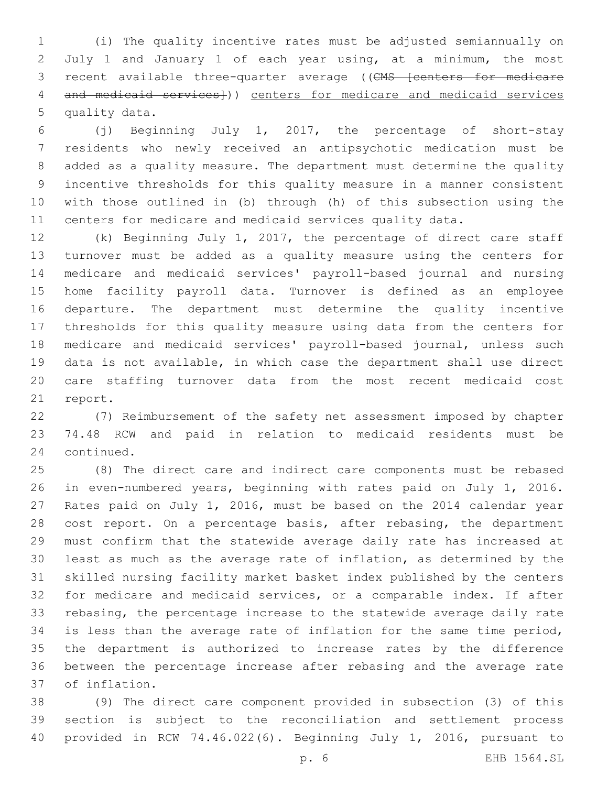(i) The quality incentive rates must be adjusted semiannually on July 1 and January 1 of each year using, at a minimum, the most 3 recent available three-quarter average ((CMS [centers for medicare 4 and medicaid services<sup>1</sup>)) centers for medicare and medicaid services 5 quality data.

 (j) Beginning July 1, 2017, the percentage of short-stay residents who newly received an antipsychotic medication must be added as a quality measure. The department must determine the quality incentive thresholds for this quality measure in a manner consistent with those outlined in (b) through (h) of this subsection using the centers for medicare and medicaid services quality data.

 (k) Beginning July 1, 2017, the percentage of direct care staff turnover must be added as a quality measure using the centers for medicare and medicaid services' payroll-based journal and nursing home facility payroll data. Turnover is defined as an employee departure. The department must determine the quality incentive thresholds for this quality measure using data from the centers for medicare and medicaid services' payroll-based journal, unless such data is not available, in which case the department shall use direct care staffing turnover data from the most recent medicaid cost 21 report.

 (7) Reimbursement of the safety net assessment imposed by chapter 74.48 RCW and paid in relation to medicaid residents must be 24 continued.

 (8) The direct care and indirect care components must be rebased in even-numbered years, beginning with rates paid on July 1, 2016. Rates paid on July 1, 2016, must be based on the 2014 calendar year 28 cost report. On a percentage basis, after rebasing, the department must confirm that the statewide average daily rate has increased at least as much as the average rate of inflation, as determined by the skilled nursing facility market basket index published by the centers for medicare and medicaid services, or a comparable index. If after rebasing, the percentage increase to the statewide average daily rate is less than the average rate of inflation for the same time period, the department is authorized to increase rates by the difference between the percentage increase after rebasing and the average rate of inflation.37

 (9) The direct care component provided in subsection (3) of this section is subject to the reconciliation and settlement process provided in RCW 74.46.022(6). Beginning July 1, 2016, pursuant to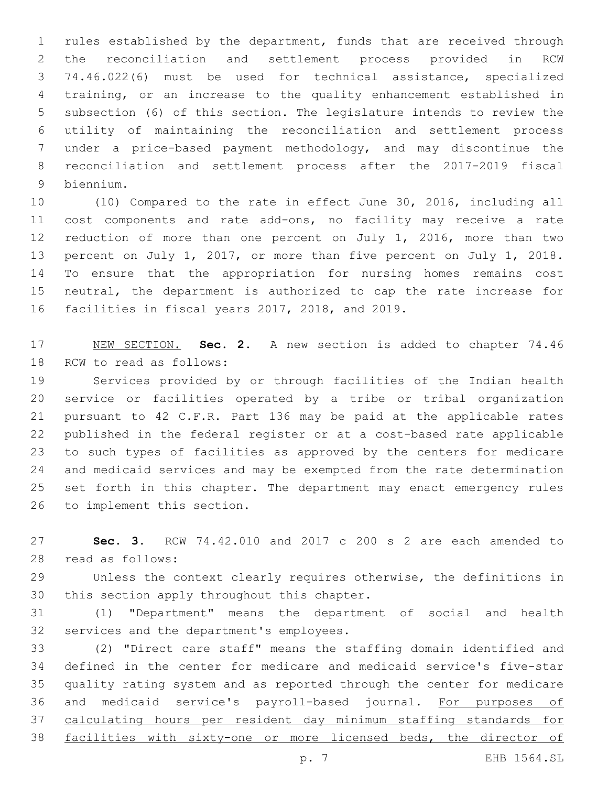rules established by the department, funds that are received through the reconciliation and settlement process provided in RCW 74.46.022(6) must be used for technical assistance, specialized training, or an increase to the quality enhancement established in subsection (6) of this section. The legislature intends to review the utility of maintaining the reconciliation and settlement process under a price-based payment methodology, and may discontinue the reconciliation and settlement process after the 2017-2019 fiscal biennium.9

 (10) Compared to the rate in effect June 30, 2016, including all cost components and rate add-ons, no facility may receive a rate reduction of more than one percent on July 1, 2016, more than two percent on July 1, 2017, or more than five percent on July 1, 2018. To ensure that the appropriation for nursing homes remains cost neutral, the department is authorized to cap the rate increase for 16 facilities in fiscal years 2017, 2018, and 2019.

 NEW SECTION. **Sec. 2.** A new section is added to chapter 74.46 18 RCW to read as follows:

 Services provided by or through facilities of the Indian health service or facilities operated by a tribe or tribal organization pursuant to 42 C.F.R. Part 136 may be paid at the applicable rates published in the federal register or at a cost-based rate applicable to such types of facilities as approved by the centers for medicare and medicaid services and may be exempted from the rate determination set forth in this chapter. The department may enact emergency rules 26 to implement this section.

 **Sec. 3.** RCW 74.42.010 and 2017 c 200 s 2 are each amended to 28 read as follows:

 Unless the context clearly requires otherwise, the definitions in 30 this section apply throughout this chapter.

 (1) "Department" means the department of social and health 32 services and the department's employees.

 (2) "Direct care staff" means the staffing domain identified and defined in the center for medicare and medicaid service's five-star quality rating system and as reported through the center for medicare and medicaid service's payroll-based journal. For purposes of calculating hours per resident day minimum staffing standards for facilities with sixty-one or more licensed beds, the director of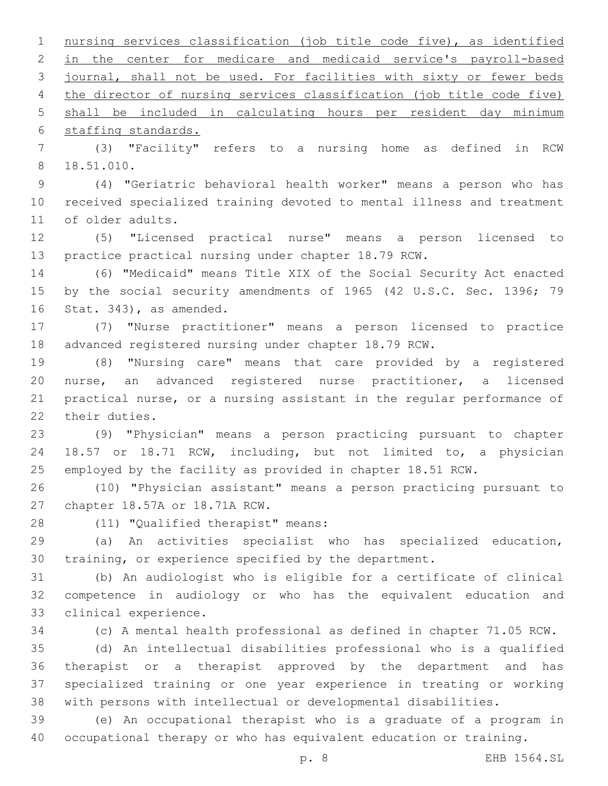nursing services classification (job title code five), as identified in the center for medicare and medicaid service's payroll-based journal, shall not be used. For facilities with sixty or fewer beds the director of nursing services classification (job title code five) shall be included in calculating hours per resident day minimum 6 staffing standards.

 (3) "Facility" refers to a nursing home as defined in RCW 18.51.010.8

 (4) "Geriatric behavioral health worker" means a person who has received specialized training devoted to mental illness and treatment 11 of older adults.

 (5) "Licensed practical nurse" means a person licensed to practice practical nursing under chapter 18.79 RCW.

 (6) "Medicaid" means Title XIX of the Social Security Act enacted 15 by the social security amendments of 1965 (42 U.S.C. Sec. 1396; 79 16 Stat. 343), as amended.

 (7) "Nurse practitioner" means a person licensed to practice advanced registered nursing under chapter 18.79 RCW.

 (8) "Nursing care" means that care provided by a registered nurse, an advanced registered nurse practitioner, a licensed practical nurse, or a nursing assistant in the regular performance of 22 their duties.

 (9) "Physician" means a person practicing pursuant to chapter 18.57 or 18.71 RCW, including, but not limited to, a physician employed by the facility as provided in chapter 18.51 RCW.

 (10) "Physician assistant" means a person practicing pursuant to 27 chapter 18.57A or 18.71A RCW.

28 (11) "Qualified therapist" means:

 (a) An activities specialist who has specialized education, training, or experience specified by the department.

 (b) An audiologist who is eligible for a certificate of clinical competence in audiology or who has the equivalent education and 33 clinical experience.

(c) A mental health professional as defined in chapter 71.05 RCW.

 (d) An intellectual disabilities professional who is a qualified therapist or a therapist approved by the department and has specialized training or one year experience in treating or working with persons with intellectual or developmental disabilities.

 (e) An occupational therapist who is a graduate of a program in occupational therapy or who has equivalent education or training.

p. 8 EHB 1564.SL